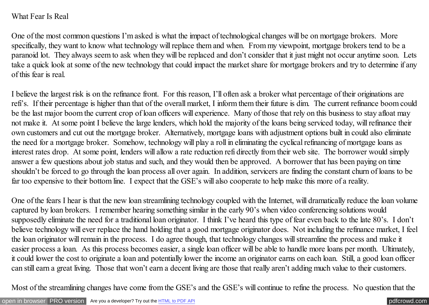## What Fear Is Real

One of the most common questions I'm asked is what the impact of technological changes will be on mortgage brokers. More specifically, they want to know what technology will replace them and when. From my viewpoint, mortgage brokers tend to be a paranoid lot. They always seem to ask when they will be replaced and don't consider that it just might not occur anytime soon. Lets take a quick look at some of the new technology that could impact the market share for mortgage brokers and try to determine if any of this fear is real.

I believe the largest risk is on the refinance front. For this reason, I'll often ask a broker what percentage of their originations are refi's. If their percentage is higher than that of the overall market, I inform them their future is dim. The current refinance boom could be the last major boom the current crop of loan officers will experience. Many of those that rely on this business to stay afloat may not make it. At some point I believe the large lenders, which hold the majority of the loans being serviced today, will refinance their own customers and cut out the mortgage broker. Alternatively, mortgage loans with adjustment options built in could also eliminate the need for a mortgage broker. Somehow, technology will play a roll in eliminating the cyclical refinancing of mortgage loans as interest rates drop. At some point, lenders will allow a rate reduction refi directly from their web site. The borrower would simply answer a few questions about job status and such, and they would then be approved. A borrower that has been paying on time shouldn't be forced to go through the loan process all over again. In addition, servicers are finding the constant churn of loans to be far too expensive to their bottom line. I expect that the GSE's will also cooperate to help make this more of a reality.

One of the fears I hear is that the new loan streamlining technology coupled with the Internet, will dramatically reduce the loan volume captured by loan brokers. I remember hearing something similar in the early 90's when video conferencing solutions would supposedly eliminate the need for a traditional loan originator. I think I've heard this type of fear even back to the late 80's. I don't believe technology will ever replace the hand holding that a good mortgage originator does. Not including the refinance market, I feel the loan originator will remain in the process. I do agree though, that technology changes will streamline the process and make it easier process a loan. As this process becomes easier, a single loan officer will be able to handle more loans per month. Ultimately, it could lower the cost to originate a loan and potentially lower the income an originator earns on each loan. Still, a good loan officer can still earn a great living. Those that won't earn a decent living are those that really aren't adding much value to their customers.

Most of the streamlining changes have come from the GSE's and the GSE's will continue to refine the process. No question that the